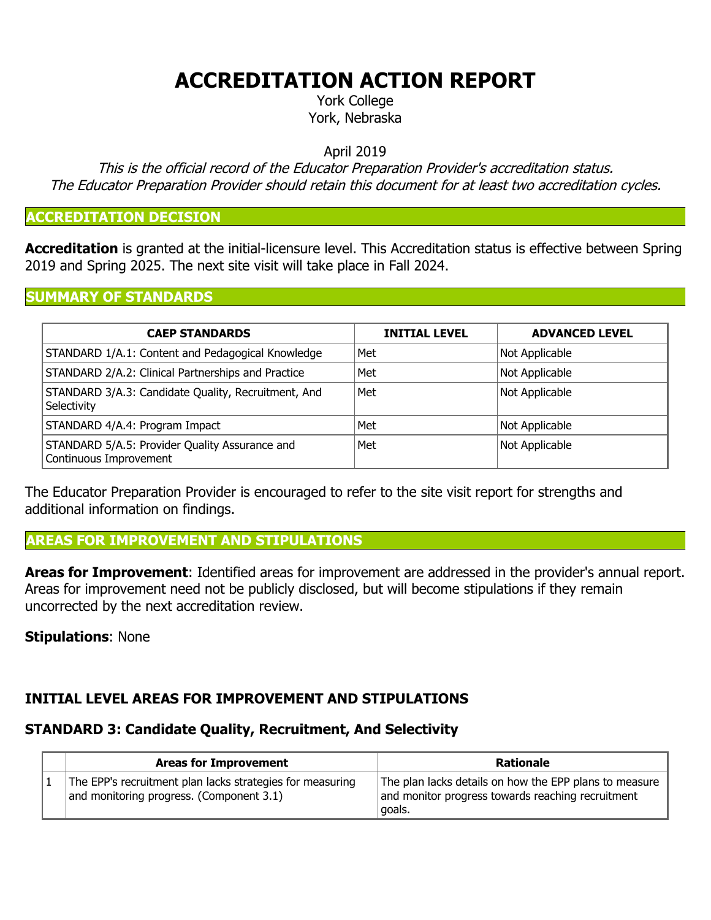# **ACCREDITATION ACTION REPORT**

York College York, Nebraska

April 2019

This is the official record of the Educator Preparation Provider's accreditation status. The Educator Preparation Provider should retain this document for at least two accreditation cycles.

#### **ACCREDITATION DECISION**

**Accreditation** is granted at the initial-licensure level. This Accreditation status is effective between Spring 2019 and Spring 2025. The next site visit will take place in Fall 2024.

#### **SUMMARY OF STANDARDS**

| <b>CAEP STANDARDS</b>                                                    | <b>INITIAL LEVEL</b> | <b>ADVANCED LEVEL</b> |
|--------------------------------------------------------------------------|----------------------|-----------------------|
| STANDARD 1/A.1: Content and Pedagogical Knowledge                        | Met                  | Not Applicable        |
| STANDARD 2/A.2: Clinical Partnerships and Practice                       | Met                  | Not Applicable        |
| STANDARD 3/A.3: Candidate Quality, Recruitment, And<br>Selectivity       | Met                  | Not Applicable        |
| STANDARD 4/A.4: Program Impact                                           | Met                  | Not Applicable        |
| STANDARD 5/A.5: Provider Quality Assurance and<br>Continuous Improvement | Met                  | Not Applicable        |

The Educator Preparation Provider is encouraged to refer to the site visit report for strengths and additional information on findings.

### **AREAS FOR IMPROVEMENT AND STIPULATIONS**

**Areas for Improvement**: Identified areas for improvement are addressed in the provider's annual report. Areas for improvement need not be publicly disclosed, but will become stipulations if they remain uncorrected by the next accreditation review.

#### **Stipulations**: None

# **INITIAL LEVEL AREAS FOR IMPROVEMENT AND STIPULATIONS**

# **STANDARD 3: Candidate Quality, Recruitment, And Selectivity**

| <b>Areas for Improvement</b>                                                                          | Rationale                                                                                                             |
|-------------------------------------------------------------------------------------------------------|-----------------------------------------------------------------------------------------------------------------------|
| The EPP's recruitment plan lacks strategies for measuring<br>and monitoring progress. (Component 3.1) | The plan lacks details on how the EPP plans to measure<br>and monitor progress towards reaching recruitment<br>goals. |